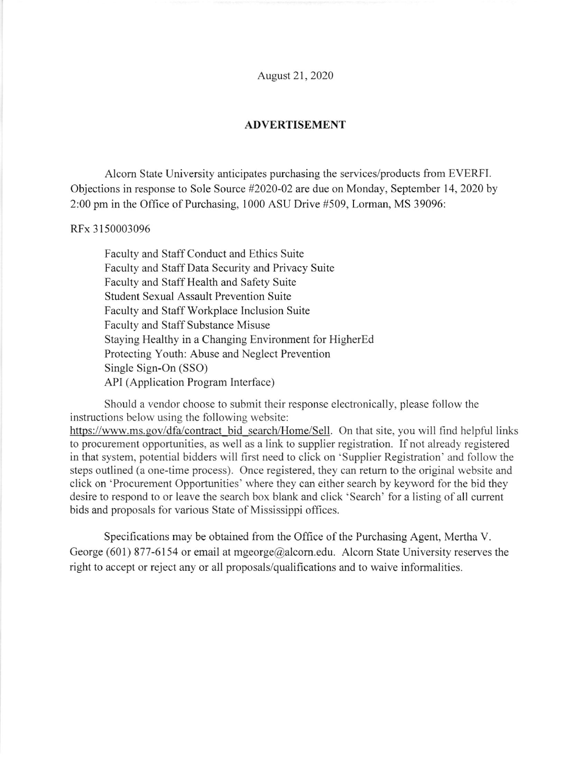August 2l , 2020

## ADVERTISEMENT

Alcom State University anticipates purchasing the services/products from EVERFI. Objections in response to Sole Source #2020-02 are due on Monday, September 14,2020 by 2:00 pm in the Office of Pwchasing, 1000 ASU Drive #509, Lorman, MS 39096:

## RIx 3150003096

Faculty and Staff Conduct and Ethics Suite Faculty and Staff Data Security and Privacy Suite Faculty and Staff Health and Safety Suite Student Sexual Assault Prevention Suite Faculty and Staff Workplace Inclusion Suite Faculty and Staff Substance Misuse Staying Healthy in a Changing Environment for HigherEd Protecting Youth: Abuse and Neglect Prevention Single Sign-On (SSO) API (Application Program Interface)

Should a vendor choose to submit their response electronically, please follow the instructions below using the following website: https://www.ms.gov/dfa/contract bid search/Home/Sell. On that site, you will find helpful links to procurement opportunities, as well as a link to supplier registration. If not already registered in that system, potential bidders will first need to click on 'Supplier Registration' and follow the steps outlined (a one-time process). Once registered, they can retum to the original website and click on'Procurement Opportunities' where they can either search by keyword for the bid they desire to respond to or leave the search box blank and click 'Search' for a listing of all current bids and proposals for various State of Mississippi offices.

Specifications may be obtained from the Office of the Purchasing Agent, Mertha V. George (601) 877-6154 or email at mgeorge@alcorn.edu. Alcorn State University reserves the right to accept or reject any or all proposals/qualifications and to waive informalities.